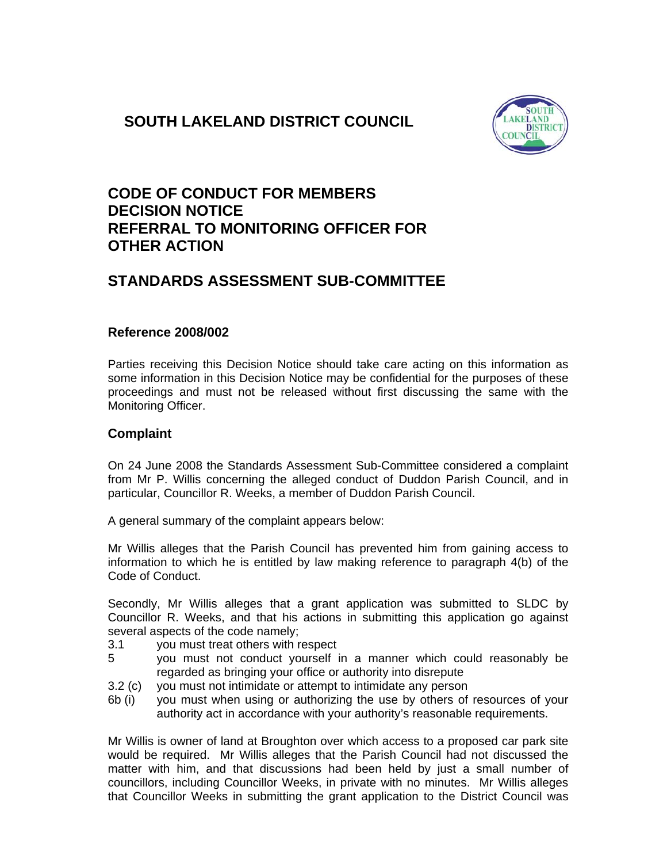# **SOUTH LAKELAND DISTRICT COUNCIL**



## **CODE OF CONDUCT FOR MEMBERS DECISION NOTICE REFERRAL TO MONITORING OFFICER FOR OTHER ACTION**

## **STANDARDS ASSESSMENT SUB-COMMITTEE**

### **Reference 2008/002**

Parties receiving this Decision Notice should take care acting on this information as some information in this Decision Notice may be confidential for the purposes of these proceedings and must not be released without first discussing the same with the Monitoring Officer.

### **Complaint**

On 24 June 2008 the Standards Assessment Sub-Committee considered a complaint from Mr P. Willis concerning the alleged conduct of Duddon Parish Council, and in particular, Councillor R. Weeks, a member of Duddon Parish Council.

A general summary of the complaint appears below:

Mr Willis alleges that the Parish Council has prevented him from gaining access to information to which he is entitled by law making reference to paragraph 4(b) of the Code of Conduct.

Secondly, Mr Willis alleges that a grant application was submitted to SLDC by Councillor R. Weeks, and that his actions in submitting this application go against several aspects of the code namely;

- 3.1 you must treat others with respect
- 5 you must not conduct yourself in a manner which could reasonably be regarded as bringing your office or authority into disrepute
- 3.2 (c) you must not intimidate or attempt to intimidate any person
- 6b (i) you must when using or authorizing the use by others of resources of your authority act in accordance with your authority's reasonable requirements.

Mr Willis is owner of land at Broughton over which access to a proposed car park site would be required. Mr Willis alleges that the Parish Council had not discussed the matter with him, and that discussions had been held by just a small number of councillors, including Councillor Weeks, in private with no minutes. Mr Willis alleges that Councillor Weeks in submitting the grant application to the District Council was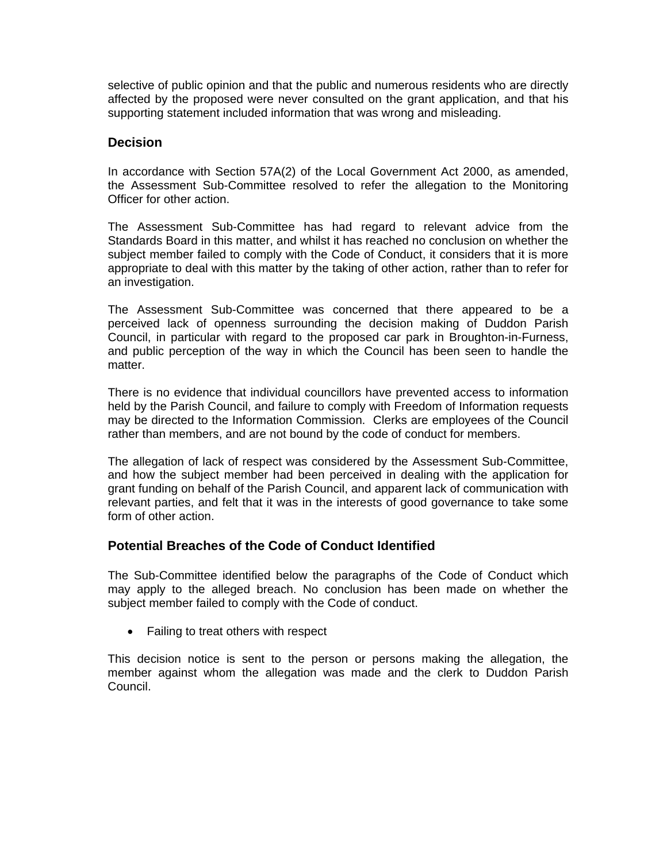selective of public opinion and that the public and numerous residents who are directly affected by the proposed were never consulted on the grant application, and that his supporting statement included information that was wrong and misleading.

### **Decision**

In accordance with Section 57A(2) of the Local Government Act 2000, as amended, the Assessment Sub-Committee resolved to refer the allegation to the Monitoring Officer for other action.

The Assessment Sub-Committee has had regard to relevant advice from the Standards Board in this matter, and whilst it has reached no conclusion on whether the subject member failed to comply with the Code of Conduct, it considers that it is more appropriate to deal with this matter by the taking of other action, rather than to refer for an investigation.

The Assessment Sub-Committee was concerned that there appeared to be a perceived lack of openness surrounding the decision making of Duddon Parish Council, in particular with regard to the proposed car park in Broughton-in-Furness, and public perception of the way in which the Council has been seen to handle the matter.

There is no evidence that individual councillors have prevented access to information held by the Parish Council, and failure to comply with Freedom of Information requests may be directed to the Information Commission. Clerks are employees of the Council rather than members, and are not bound by the code of conduct for members.

The allegation of lack of respect was considered by the Assessment Sub-Committee, and how the subject member had been perceived in dealing with the application for grant funding on behalf of the Parish Council, and apparent lack of communication with relevant parties, and felt that it was in the interests of good governance to take some form of other action.

### **Potential Breaches of the Code of Conduct Identified**

The Sub-Committee identified below the paragraphs of the Code of Conduct which may apply to the alleged breach. No conclusion has been made on whether the subject member failed to comply with the Code of conduct.

• Failing to treat others with respect

This decision notice is sent to the person or persons making the allegation, the member against whom the allegation was made and the clerk to Duddon Parish Council.